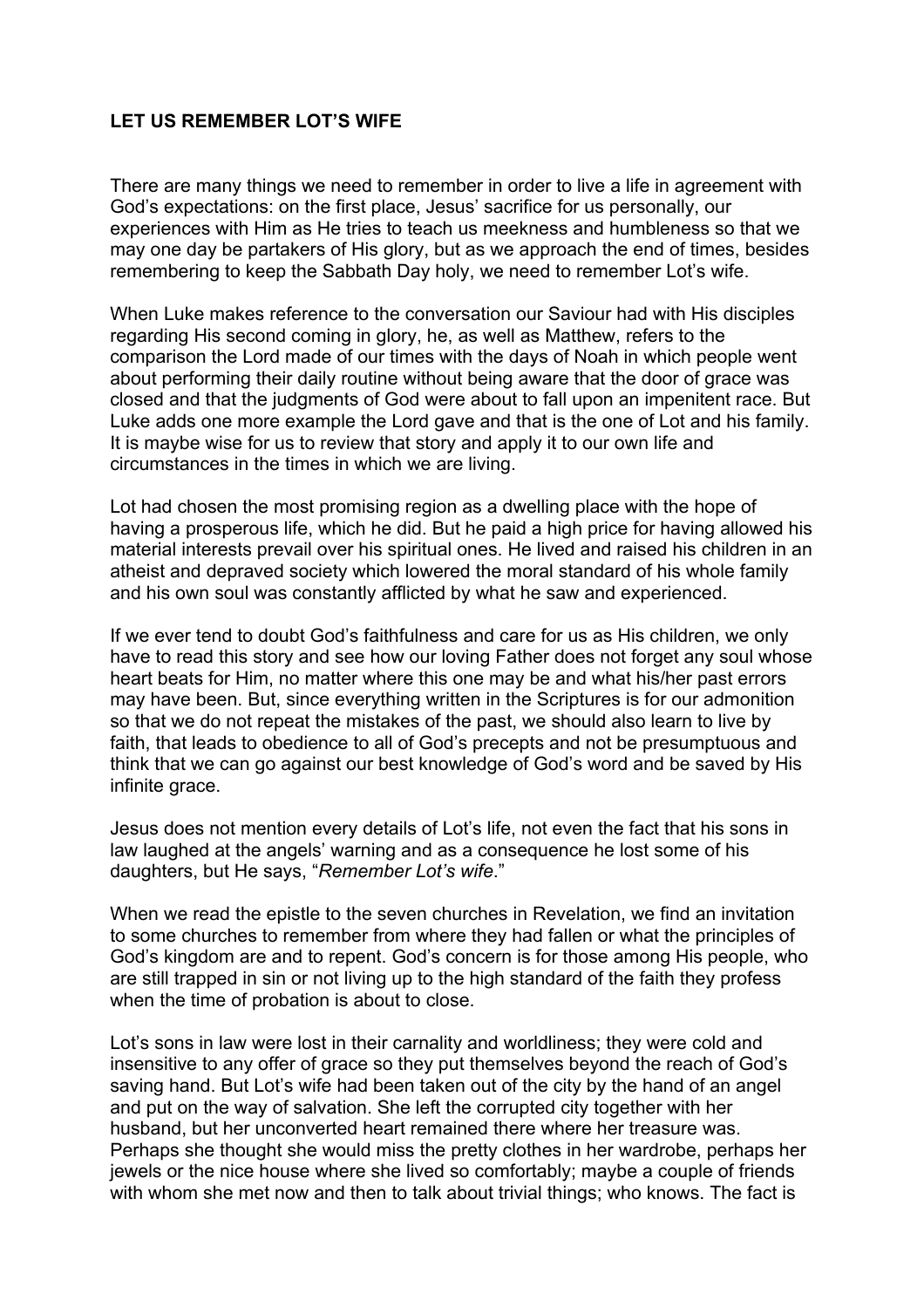## **LET US REMEMBER LOT'S WIFE**

There are many things we need to remember in order to live a life in agreement with God's expectations: on the first place, Jesus' sacrifice for us personally, our experiences with Him as He tries to teach us meekness and humbleness so that we may one day be partakers of His glory, but as we approach the end of times, besides remembering to keep the Sabbath Day holy, we need to remember Lot's wife.

When Luke makes reference to the conversation our Saviour had with His disciples regarding His second coming in glory, he, as well as Matthew, refers to the comparison the Lord made of our times with the days of Noah in which people went about performing their daily routine without being aware that the door of grace was closed and that the judgments of God were about to fall upon an impenitent race. But Luke adds one more example the Lord gave and that is the one of Lot and his family. It is maybe wise for us to review that story and apply it to our own life and circumstances in the times in which we are living.

Lot had chosen the most promising region as a dwelling place with the hope of having a prosperous life, which he did. But he paid a high price for having allowed his material interests prevail over his spiritual ones. He lived and raised his children in an atheist and depraved society which lowered the moral standard of his whole family and his own soul was constantly afflicted by what he saw and experienced.

If we ever tend to doubt God's faithfulness and care for us as His children, we only have to read this story and see how our loving Father does not forget any soul whose heart beats for Him, no matter where this one may be and what his/her past errors may have been. But, since everything written in the Scriptures is for our admonition so that we do not repeat the mistakes of the past, we should also learn to live by faith, that leads to obedience to all of God's precepts and not be presumptuous and think that we can go against our best knowledge of God's word and be saved by His infinite grace.

Jesus does not mention every details of Lot's life, not even the fact that his sons in law laughed at the angels' warning and as a consequence he lost some of his daughters, but He says, "*Remember Lot's wife*."

When we read the epistle to the seven churches in Revelation, we find an invitation to some churches to remember from where they had fallen or what the principles of God's kingdom are and to repent. God's concern is for those among His people, who are still trapped in sin or not living up to the high standard of the faith they profess when the time of probation is about to close.

Lot's sons in law were lost in their carnality and worldliness; they were cold and insensitive to any offer of grace so they put themselves beyond the reach of God's saving hand. But Lot's wife had been taken out of the city by the hand of an angel and put on the way of salvation. She left the corrupted city together with her husband, but her unconverted heart remained there where her treasure was. Perhaps she thought she would miss the pretty clothes in her wardrobe, perhaps her jewels or the nice house where she lived so comfortably; maybe a couple of friends with whom she met now and then to talk about trivial things; who knows. The fact is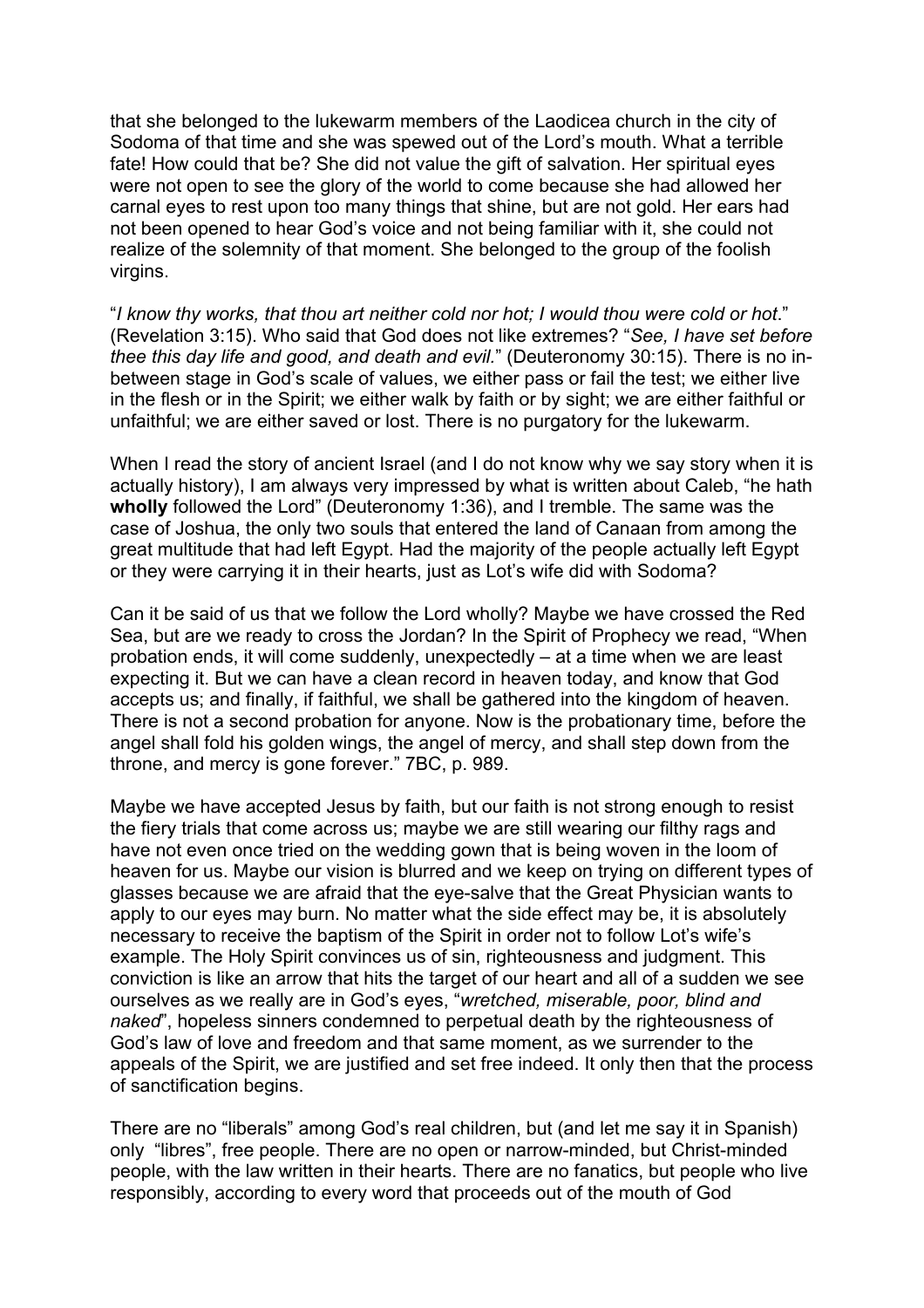that she belonged to the lukewarm members of the Laodicea church in the city of Sodoma of that time and she was spewed out of the Lord's mouth. What a terrible fate! How could that be? She did not value the gift of salvation. Her spiritual eyes were not open to see the glory of the world to come because she had allowed her carnal eyes to rest upon too many things that shine, but are not gold. Her ears had not been opened to hear God's voice and not being familiar with it, she could not realize of the solemnity of that moment. She belonged to the group of the foolish virgins.

"*I know thy works, that thou art neither cold nor hot; I would thou were cold or hot*." (Revelation 3:15). Who said that God does not like extremes? "*See, I have set before thee this day life and good, and death and evil.*" (Deuteronomy 30:15). There is no inbetween stage in God's scale of values, we either pass or fail the test; we either live in the flesh or in the Spirit; we either walk by faith or by sight; we are either faithful or unfaithful; we are either saved or lost. There is no purgatory for the lukewarm.

When I read the story of ancient Israel (and I do not know why we say story when it is actually history), I am always very impressed by what is written about Caleb, "he hath **wholly** followed the Lord" (Deuteronomy 1:36), and I tremble. The same was the case of Joshua, the only two souls that entered the land of Canaan from among the great multitude that had left Egypt. Had the majority of the people actually left Egypt or they were carrying it in their hearts, just as Lot's wife did with Sodoma?

Can it be said of us that we follow the Lord wholly? Maybe we have crossed the Red Sea, but are we ready to cross the Jordan? In the Spirit of Prophecy we read, "When probation ends, it will come suddenly, unexpectedly – at a time when we are least expecting it. But we can have a clean record in heaven today, and know that God accepts us; and finally, if faithful, we shall be gathered into the kingdom of heaven. There is not a second probation for anyone. Now is the probationary time, before the angel shall fold his golden wings, the angel of mercy, and shall step down from the throne, and mercy is gone forever." 7BC, p. 989.

Maybe we have accepted Jesus by faith, but our faith is not strong enough to resist the fiery trials that come across us; maybe we are still wearing our filthy rags and have not even once tried on the wedding gown that is being woven in the loom of heaven for us. Maybe our vision is blurred and we keep on trying on different types of glasses because we are afraid that the eye-salve that the Great Physician wants to apply to our eyes may burn. No matter what the side effect may be, it is absolutely necessary to receive the baptism of the Spirit in order not to follow Lot's wife's example. The Holy Spirit convinces us of sin, righteousness and judgment. This conviction is like an arrow that hits the target of our heart and all of a sudden we see ourselves as we really are in God's eyes, "*wretched, miserable, poor, blind and naked*", hopeless sinners condemned to perpetual death by the righteousness of God's law of love and freedom and that same moment, as we surrender to the appeals of the Spirit, we are justified and set free indeed. It only then that the process of sanctification begins.

There are no "liberals" among God's real children, but (and let me say it in Spanish) only "libres", free people. There are no open or narrow-minded, but Christ-minded people, with the law written in their hearts. There are no fanatics, but people who live responsibly, according to every word that proceeds out of the mouth of God